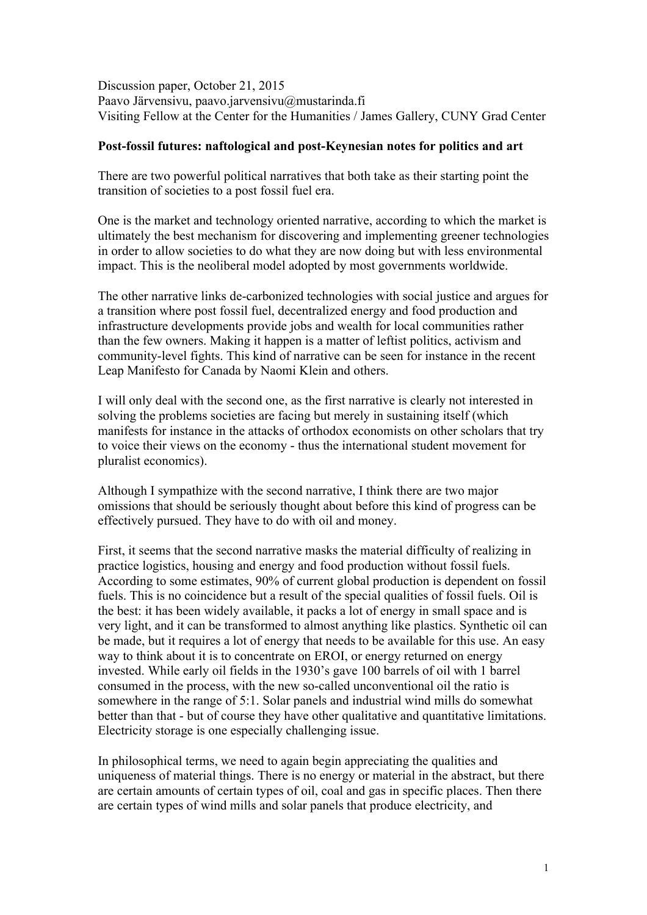Discussion paper, October 21, 2015 Paavo Järvensivu, paavo.jarvensivu@mustarinda.fi Visiting Fellow at the Center for the Humanities / James Gallery, CUNY Grad Center

## **Post-fossil futures: naftological and post-Keynesian notes for politics and art**

There are two powerful political narratives that both take as their starting point the transition of societies to a post fossil fuel era.

One is the market and technology oriented narrative, according to which the market is ultimately the best mechanism for discovering and implementing greener technologies in order to allow societies to do what they are now doing but with less environmental impact. This is the neoliberal model adopted by most governments worldwide.

The other narrative links de-carbonized technologies with social justice and argues for a transition where post fossil fuel, decentralized energy and food production and infrastructure developments provide jobs and wealth for local communities rather than the few owners. Making it happen is a matter of leftist politics, activism and community-level fights. This kind of narrative can be seen for instance in the recent Leap Manifesto for Canada by Naomi Klein and others.

I will only deal with the second one, as the first narrative is clearly not interested in solving the problems societies are facing but merely in sustaining itself (which manifests for instance in the attacks of orthodox economists on other scholars that try to voice their views on the economy - thus the international student movement for pluralist economics).

Although I sympathize with the second narrative, I think there are two major omissions that should be seriously thought about before this kind of progress can be effectively pursued. They have to do with oil and money.

First, it seems that the second narrative masks the material difficulty of realizing in practice logistics, housing and energy and food production without fossil fuels. According to some estimates, 90% of current global production is dependent on fossil fuels. This is no coincidence but a result of the special qualities of fossil fuels. Oil is the best: it has been widely available, it packs a lot of energy in small space and is very light, and it can be transformed to almost anything like plastics. Synthetic oil can be made, but it requires a lot of energy that needs to be available for this use. An easy way to think about it is to concentrate on EROI, or energy returned on energy invested. While early oil fields in the 1930's gave 100 barrels of oil with 1 barrel consumed in the process, with the new so-called unconventional oil the ratio is somewhere in the range of 5:1. Solar panels and industrial wind mills do somewhat better than that - but of course they have other qualitative and quantitative limitations. Electricity storage is one especially challenging issue.

In philosophical terms, we need to again begin appreciating the qualities and uniqueness of material things. There is no energy or material in the abstract, but there are certain amounts of certain types of oil, coal and gas in specific places. Then there are certain types of wind mills and solar panels that produce electricity, and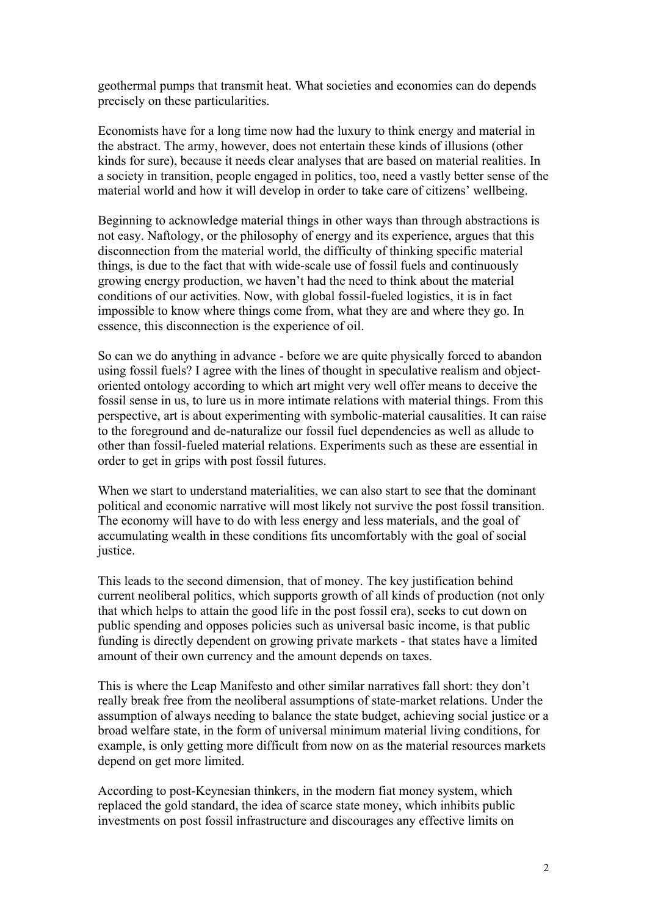geothermal pumps that transmit heat. What societies and economies can do depends precisely on these particularities.

Economists have for a long time now had the luxury to think energy and material in the abstract. The army, however, does not entertain these kinds of illusions (other kinds for sure), because it needs clear analyses that are based on material realities. In a society in transition, people engaged in politics, too, need a vastly better sense of the material world and how it will develop in order to take care of citizens' wellbeing.

Beginning to acknowledge material things in other ways than through abstractions is not easy. Naftology, or the philosophy of energy and its experience, argues that this disconnection from the material world, the difficulty of thinking specific material things, is due to the fact that with wide-scale use of fossil fuels and continuously growing energy production, we haven't had the need to think about the material conditions of our activities. Now, with global fossil-fueled logistics, it is in fact impossible to know where things come from, what they are and where they go. In essence, this disconnection is the experience of oil.

So can we do anything in advance - before we are quite physically forced to abandon using fossil fuels? I agree with the lines of thought in speculative realism and objectoriented ontology according to which art might very well offer means to deceive the fossil sense in us, to lure us in more intimate relations with material things. From this perspective, art is about experimenting with symbolic-material causalities. It can raise to the foreground and de-naturalize our fossil fuel dependencies as well as allude to other than fossil-fueled material relations. Experiments such as these are essential in order to get in grips with post fossil futures.

When we start to understand materialities, we can also start to see that the dominant political and economic narrative will most likely not survive the post fossil transition. The economy will have to do with less energy and less materials, and the goal of accumulating wealth in these conditions fits uncomfortably with the goal of social justice.

This leads to the second dimension, that of money. The key justification behind current neoliberal politics, which supports growth of all kinds of production (not only that which helps to attain the good life in the post fossil era), seeks to cut down on public spending and opposes policies such as universal basic income, is that public funding is directly dependent on growing private markets - that states have a limited amount of their own currency and the amount depends on taxes.

This is where the Leap Manifesto and other similar narratives fall short: they don't really break free from the neoliberal assumptions of state-market relations. Under the assumption of always needing to balance the state budget, achieving social justice or a broad welfare state, in the form of universal minimum material living conditions, for example, is only getting more difficult from now on as the material resources markets depend on get more limited.

According to post-Keynesian thinkers, in the modern fiat money system, which replaced the gold standard, the idea of scarce state money, which inhibits public investments on post fossil infrastructure and discourages any effective limits on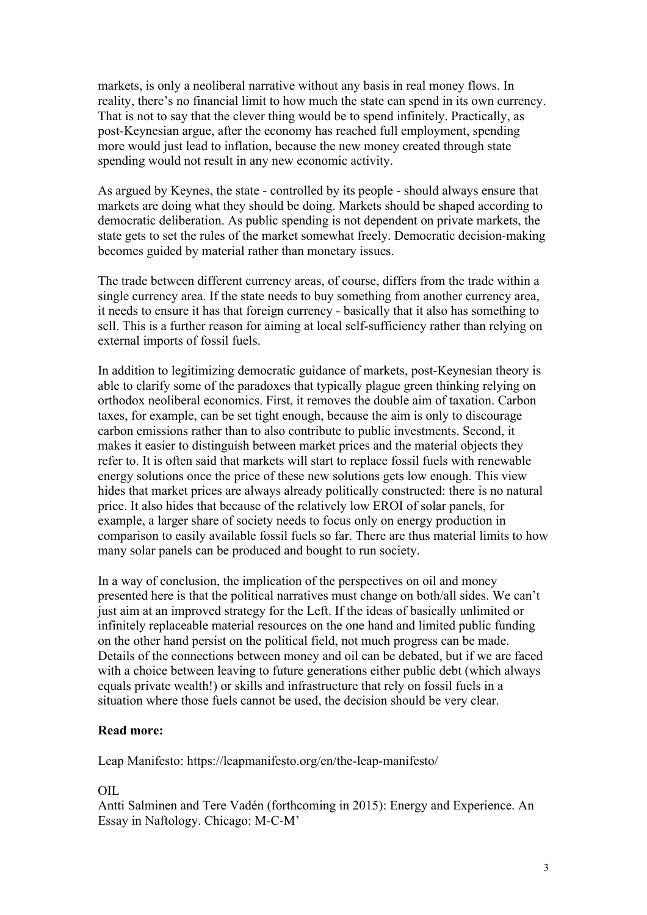markets, is only a neoliberal narrative without any basis in real money flows. In reality, there's no financial limit to how much the state can spend in its own currency. That is not to say that the clever thing would be to spend infinitely. Practically, as post-Keynesian argue, after the economy has reached full employment, spending more would just lead to inflation, because the new money created through state spending would not result in any new economic activity.

As argued by Keynes, the state - controlled by its people - should always ensure that markets are doing what they should be doing. Markets should be shaped according to democratic deliberation. As public spending is not dependent on private markets, the state gets to set the rules of the market somewhat freely. Democratic decision-making becomes guided by material rather than monetary issues.

The trade between different currency areas, of course, differs from the trade within a single currency area. If the state needs to buy something from another currency area, it needs to ensure it has that foreign currency - basically that it also has something to sell. This is a further reason for aiming at local self-sufficiency rather than relying on external imports of fossil fuels.

In addition to legitimizing democratic guidance of markets, post-Keynesian theory is able to clarify some of the paradoxes that typically plague green thinking relying on orthodox neoliberal economics. First, it removes the double aim of taxation. Carbon taxes, for example, can be set tight enough, because the aim is only to discourage carbon emissions rather than to also contribute to public investments. Second, it makes it easier to distinguish between market prices and the material objects they refer to. It is often said that markets will start to replace fossil fuels with renewable energy solutions once the price of these new solutions gets low enough. This view hides that market prices are always already politically constructed: there is no natural price. It also hides that because of the relatively low EROI of solar panels, for example, a larger share of society needs to focus only on energy production in comparison to easily available fossil fuels so far. There are thus material limits to how many solar panels can be produced and bought to run society.

In a way of conclusion, the implication of the perspectives on oil and money presented here is that the political narratives must change on both/all sides. We can't just aim at an improved strategy for the Left. If the ideas of basically unlimited or infinitely replaceable material resources on the one hand and limited public funding on the other hand persist on the political field, not much progress can be made. Details of the connections between money and oil can be debated, but if we are faced with a choice between leaving to future generations either public debt (which always equals private wealth!) or skills and infrastructure that rely on fossil fuels in a situation where those fuels cannot be used, the decision should be very clear.

## **Read more:**

Leap Manifesto: https://leapmanifesto.org/en/the-leap-manifesto/

## OIL

Antti Salminen and Tere Vadén (forthcoming in 2015): Energy and Experience. An Essay in Naftology. Chicago: M-C-M'